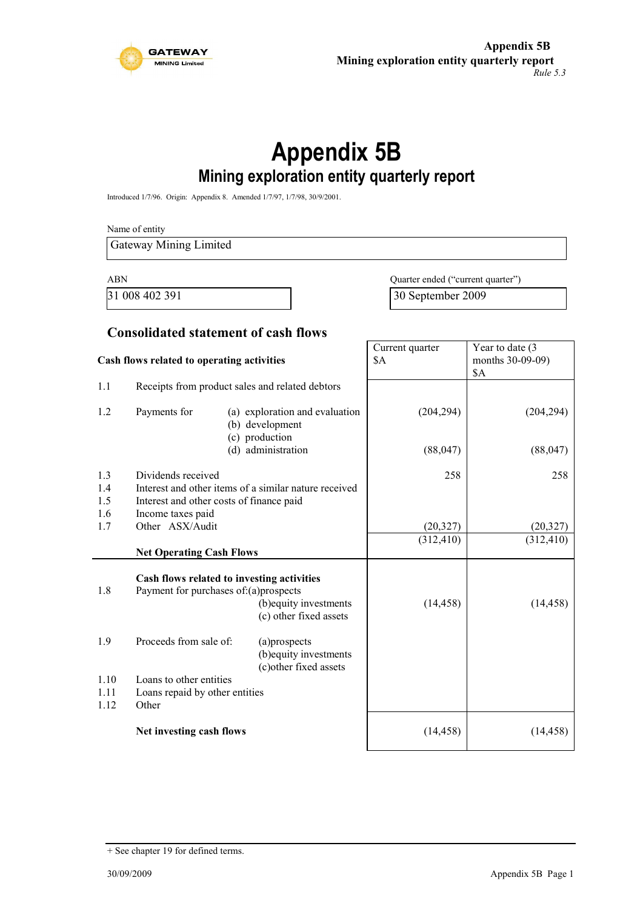

# **Appendix 5B Mining exploration entity quarterly report**

Introduced 1/7/96. Origin: Appendix 8. Amended 1/7/97, 1/7/98, 30/9/2001.

Name of entity

Gateway Mining Limited

ABN Quarter ended ("current quarter") 31 008 402 391 30 September 2009

#### **Consolidated statement of cash flows**

| Cash flows related to operating activities |                                                                                                                                              | Current quarter<br>\$A                                              | Year to date (3<br>months 30-09-09)<br>\$A |            |
|--------------------------------------------|----------------------------------------------------------------------------------------------------------------------------------------------|---------------------------------------------------------------------|--------------------------------------------|------------|
| 1.1                                        | Receipts from product sales and related debtors                                                                                              |                                                                     |                                            |            |
| 1.2                                        | Payments for                                                                                                                                 | (a) exploration and evaluation<br>(b) development<br>(c) production | (204, 294)                                 | (204, 294) |
|                                            |                                                                                                                                              | (d) administration                                                  | (88, 047)                                  | (88, 047)  |
| 1.3<br>1.4<br>1.5<br>1.6                   | Dividends received<br>Interest and other items of a similar nature received<br>Interest and other costs of finance paid<br>Income taxes paid |                                                                     | 258                                        | 258        |
| 1.7                                        | Other ASX/Audit                                                                                                                              |                                                                     | (20, 327)                                  | (20, 327)  |
|                                            |                                                                                                                                              |                                                                     | (312, 410)                                 | (312, 410) |
|                                            | <b>Net Operating Cash Flows</b>                                                                                                              |                                                                     |                                            |            |
| 1.8                                        | Cash flows related to investing activities<br>Payment for purchases of:(a)prospects                                                          | (b) equity investments<br>(c) other fixed assets                    | (14, 458)                                  | (14, 458)  |
| 1.9                                        | Proceeds from sale of:                                                                                                                       | (a)prospects<br>(b) equity investments<br>(c) other fixed assets    |                                            |            |
| 1.10                                       | Loans to other entities                                                                                                                      |                                                                     |                                            |            |
| 1.11                                       | Loans repaid by other entities                                                                                                               |                                                                     |                                            |            |
| 1.12                                       | Other                                                                                                                                        |                                                                     |                                            |            |
|                                            | Net investing cash flows                                                                                                                     |                                                                     | (14, 458)                                  | (14, 458)  |

<sup>+</sup> See chapter 19 for defined terms.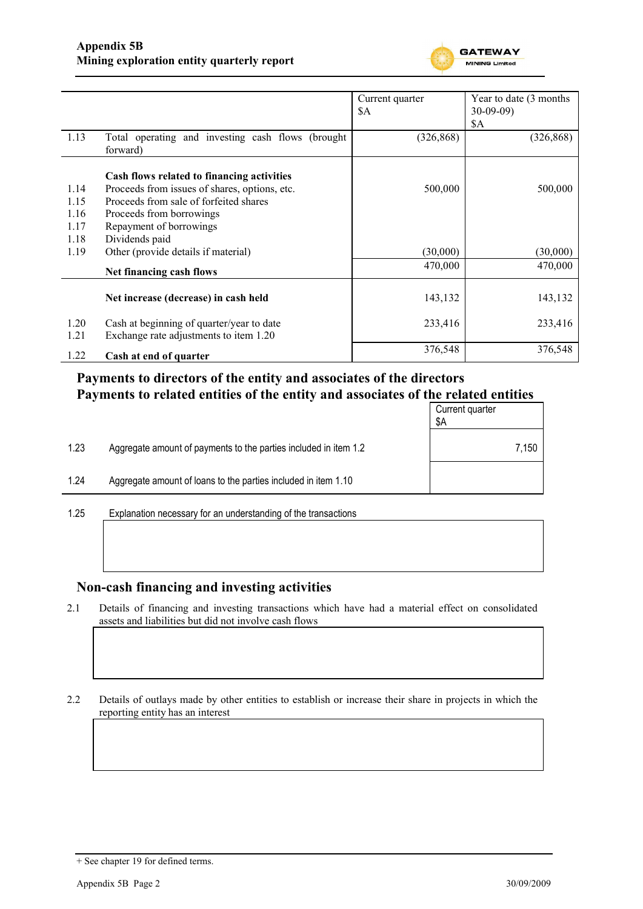

|      |                                                   | Current quarter | Year to date (3 months) |
|------|---------------------------------------------------|-----------------|-------------------------|
|      |                                                   | \$A             | $30-09-09$              |
|      |                                                   |                 | \$A                     |
| 1.13 | Total operating and investing cash flows (brought | (326, 868)      | (326, 868)              |
|      | forward)                                          |                 |                         |
|      | Cash flows related to financing activities        |                 |                         |
| 1.14 | Proceeds from issues of shares, options, etc.     | 500,000         | 500,000                 |
| 1.15 | Proceeds from sale of forfeited shares            |                 |                         |
| 1.16 | Proceeds from borrowings                          |                 |                         |
| 1.17 | Repayment of borrowings                           |                 |                         |
| 1.18 | Dividends paid                                    |                 |                         |
| 1.19 | Other (provide details if material)               | (30,000)        | (30,000)                |
|      | Net financing cash flows                          | 470,000         | 470,000                 |
|      |                                                   |                 |                         |
|      | Net increase (decrease) in cash held              | 143,132         | 143,132                 |
| 1.20 | Cash at beginning of quarter/year to date         | 233,416         | 233,416                 |
| 1.21 | Exchange rate adjustments to item 1.20            |                 |                         |
| 1.22 | Cash at end of quarter                            | 376,548         | 376,548                 |

### **Payments to directors of the entity and associates of the directors Payments to related entities of the entity and associates of the related entities**

|      |                                                                  | Current quarter<br>\$Α |  |
|------|------------------------------------------------------------------|------------------------|--|
| 1.23 | Aggregate amount of payments to the parties included in item 1.2 | 7,150                  |  |
| 1.24 | Aggregate amount of loans to the parties included in item 1.10   |                        |  |
|      |                                                                  |                        |  |

1.25 Explanation necessary for an understanding of the transactions

### **Non-cash financing and investing activities**

2.1 Details of financing and investing transactions which have had a material effect on consolidated assets and liabilities but did not involve cash flows

2.2 Details of outlays made by other entities to establish or increase their share in projects in which the reporting entity has an interest

<sup>+</sup> See chapter 19 for defined terms.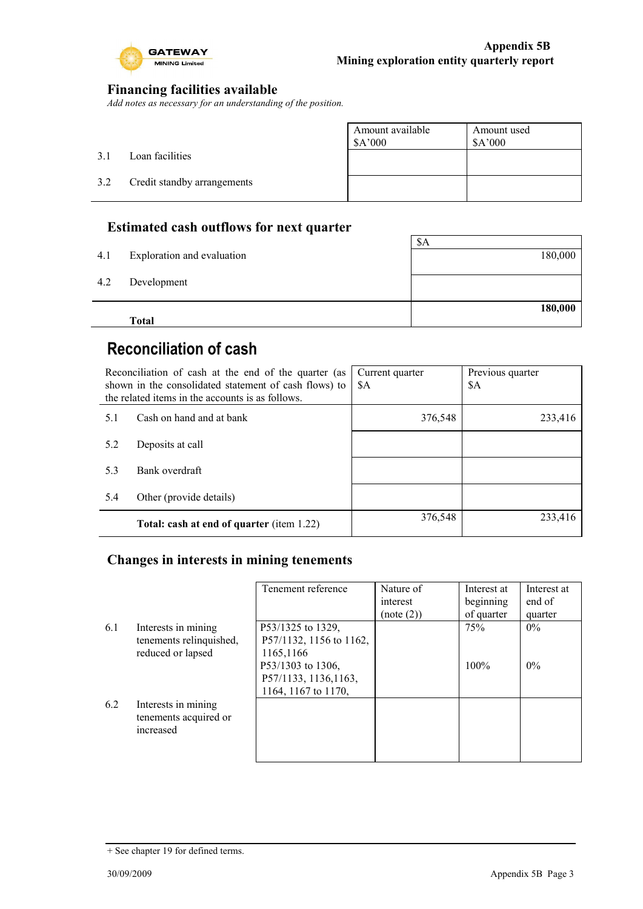

### **Financing facilities available**

*Add notes as necessary for an understanding of the position.*

|     |                             | Amount available<br>\$A'000 | Amount used<br>\$A'000 |
|-----|-----------------------------|-----------------------------|------------------------|
| 3.1 | Loan facilities             |                             |                        |
| 3.2 | Credit standby arrangements |                             |                        |
|     |                             |                             |                        |

### **Estimated cash outflows for next quarter**

|     | <b>Total</b>               |         |
|-----|----------------------------|---------|
|     |                            | 180,000 |
| 4.2 | Development                |         |
|     |                            |         |
| 4.1 | Exploration and evaluation | 180,000 |
|     |                            | \$A     |

# **Reconciliation of cash**

| Reconciliation of cash at the end of the quarter (as<br>shown in the consolidated statement of cash flows) to<br>the related items in the accounts is as follows. |                                                  | Current quarter<br>\$A | Previous quarter<br>\$A |
|-------------------------------------------------------------------------------------------------------------------------------------------------------------------|--------------------------------------------------|------------------------|-------------------------|
| 5.1                                                                                                                                                               | Cash on hand and at bank                         | 376,548                | 233,416                 |
| 5.2                                                                                                                                                               | Deposits at call                                 |                        |                         |
| 5.3                                                                                                                                                               | Bank overdraft                                   |                        |                         |
| 5.4                                                                                                                                                               | Other (provide details)                          |                        |                         |
|                                                                                                                                                                   | <b>Total: cash at end of quarter (item 1.22)</b> | 376,548                | 233,416                 |

### **Changes in interests in mining tenements**

|     |                                                                     | Tenement reference                                                | Nature of<br>interest<br>(note (2)) | Interest at<br>beginning<br>of quarter | Interest at<br>end of<br>quarter |
|-----|---------------------------------------------------------------------|-------------------------------------------------------------------|-------------------------------------|----------------------------------------|----------------------------------|
| 6.1 | Interests in mining<br>tenements relinquished,<br>reduced or lapsed | P53/1325 to 1329,<br>P57/1132, 1156 to 1162,<br>1165,1166         |                                     | 75%                                    | $0\%$                            |
|     |                                                                     | P53/1303 to 1306,<br>P57/1133, 1136, 1163,<br>1164, 1167 to 1170, |                                     | 100%                                   | $0\%$                            |
| 6.2 | Interests in mining<br>tenements acquired or<br>increased           |                                                                   |                                     |                                        |                                  |

<sup>+</sup> See chapter 19 for defined terms.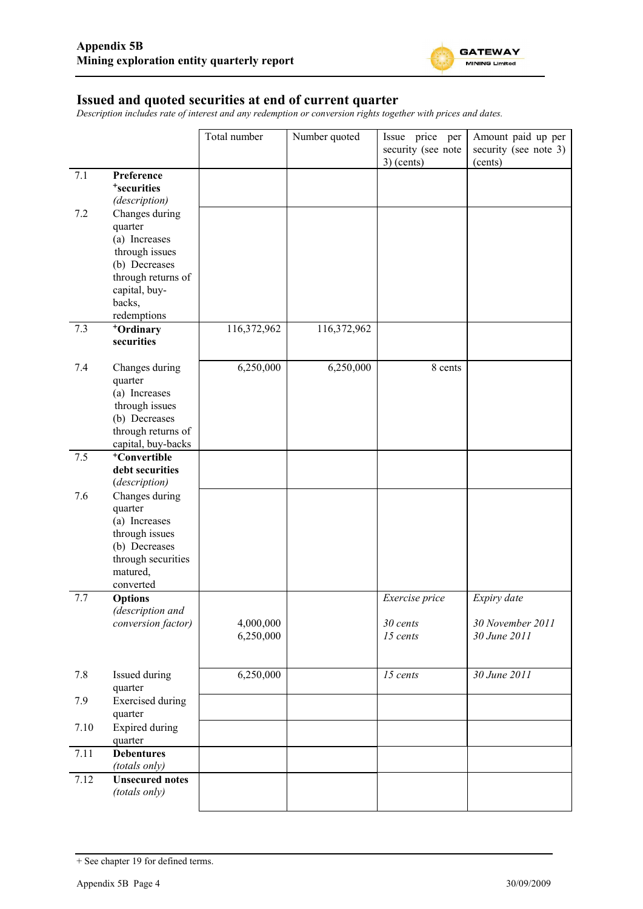

#### **Issued and quoted securities at end of current quarter**

*Description includes rate of interest and any redemption or conversion rights together with prices and dates.*

|      |                                     | Total number | Number quoted | Issue price per    | Amount paid up per    |
|------|-------------------------------------|--------------|---------------|--------------------|-----------------------|
|      |                                     |              |               | security (see note | security (see note 3) |
| 7.1  | Preference                          |              |               | $3)$ (cents)       | (cents)               |
|      | <sup>+</sup> securities             |              |               |                    |                       |
|      | (description)                       |              |               |                    |                       |
| 7.2  | Changes during                      |              |               |                    |                       |
|      | quarter                             |              |               |                    |                       |
|      | (a) Increases                       |              |               |                    |                       |
|      | through issues                      |              |               |                    |                       |
|      | (b) Decreases                       |              |               |                    |                       |
|      | through returns of<br>capital, buy- |              |               |                    |                       |
|      | backs,                              |              |               |                    |                       |
|      | redemptions                         |              |               |                    |                       |
| 7.3  | +Ordinary                           | 116,372,962  | 116,372,962   |                    |                       |
|      | securities                          |              |               |                    |                       |
|      |                                     |              |               |                    |                       |
| 7.4  | Changes during                      | 6,250,000    | 6,250,000     | 8 cents            |                       |
|      | quarter<br>(a) Increases            |              |               |                    |                       |
|      | through issues                      |              |               |                    |                       |
|      | (b) Decreases                       |              |               |                    |                       |
|      | through returns of                  |              |               |                    |                       |
|      | capital, buy-backs                  |              |               |                    |                       |
| 7.5  | <sup>+</sup> Convertible            |              |               |                    |                       |
|      | debt securities                     |              |               |                    |                       |
| 7.6  | (description)<br>Changes during     |              |               |                    |                       |
|      | quarter                             |              |               |                    |                       |
|      | (a) Increases                       |              |               |                    |                       |
|      | through issues                      |              |               |                    |                       |
|      | (b) Decreases                       |              |               |                    |                       |
|      | through securities                  |              |               |                    |                       |
|      | matured,                            |              |               |                    |                       |
| 7.7  | converted<br><b>Options</b>         |              |               | Exercise price     | Expiry date           |
|      | (description and                    |              |               |                    |                       |
|      | conversion factor)                  | 4,000,000    |               | 30 cents           | 30 November 2011      |
|      |                                     | 6,250,000    |               | 15 cents           | 30 June 2011          |
|      |                                     |              |               |                    |                       |
|      |                                     |              |               |                    |                       |
| 7.8  | Issued during<br>quarter            | 6,250,000    |               | 15 cents           | 30 June 2011          |
| 7.9  | <b>Exercised</b> during             |              |               |                    |                       |
|      | quarter                             |              |               |                    |                       |
| 7.10 | <b>Expired during</b>               |              |               |                    |                       |
|      | quarter                             |              |               |                    |                       |
| 7.11 | <b>Debentures</b>                   |              |               |                    |                       |
|      | (totals only)                       |              |               |                    |                       |
| 7.12 | <b>Unsecured notes</b>              |              |               |                    |                       |
|      | (totals only)                       |              |               |                    |                       |
|      |                                     |              |               |                    |                       |

<sup>+</sup> See chapter 19 for defined terms.